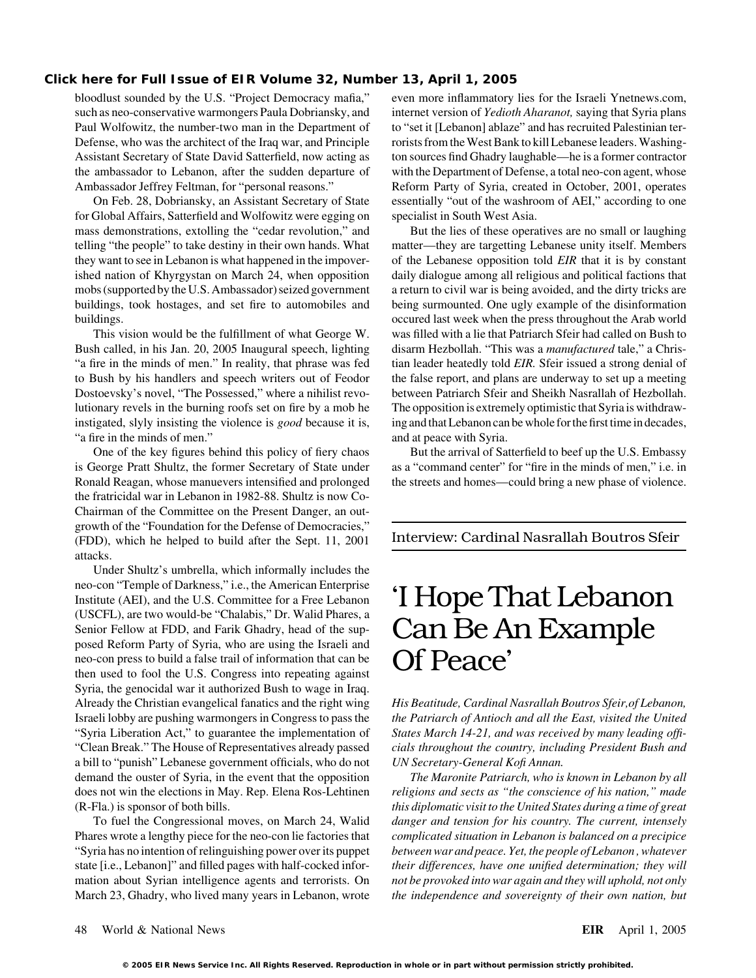## **[Click here for Full Issue of EIR Volume 32, Number 13, April 1, 2005](http://www.larouchepub.com/eiw/public/2005/eirv32n13-20050401/index.html)**

bloodlust sounded by the U.S. "Project Democracy mafia," even more inflammatory lies for the Israeli Ynetnews.com, such as neo-conservative warmongers Paula Dobriansky, and internet version of *Yedioth Aharanot,* saying that Syria plans Paul Wolfowitz, the number-two man in the Department of to "set it [Lebanon] ablaze" and has recruited Palestinian ter-Defense, who was the architect of the Iraq war, and Principle rorists from the West Bank to kill Lebanese leaders. Washing-Assistant Secretary of State David Satterfield, now acting as ton sources find Ghadry laughable—he is a former contractor the ambassador to Lebanon, after the sudden departure of with the Department of Defense, a total neo-con agent, whose Ambassador Jeffrey Feltman, for "personal reasons." Reform Party of Syria, created in October, 2001, operates

for Global Affairs, Satterfield and Wolfowitz were egging on specialist in South West Asia. mass demonstrations, extolling the "cedar revolution," and But the lies of these operatives are no small or laughing telling "the people" to take destiny in their own hands. What matter—they are targetting Lebanese unity itself. Members they want to see in Lebanon is what happened in the impover- of the Lebanese opposition told *EIR* that it is by constant ished nation of Khyrgystan on March 24, when opposition daily dialogue among all religious and political factions that mobs (supported by the U.S. Ambassador) seized government a return to civil war is being avoided, and the dirty tricks are buildings, took hostages, and set fire to automobiles and being surmounted. One ugly example of the disinformation buildings. occured last week when the press throughout the Arab world

Bush called, in his Jan. 20, 2005 Inaugural speech, lighting disarm Hezbollah. "This was a *manufactured* tale," a Chris- "a fire in the minds of men." In reality, that phrase was fed tian leader heatedly told *EIR.* Sfeir issued a strong denial of to Bush by his handlers and speech writers out of Feodor the false report, and plans are underway to set up a meeting Dostoevsky's novel, "The Possessed," where a nihilist revo- between Patriarch Sfeir and Sheikh Nasrallah of Hezbollah. lutionary revels in the burning roofs set on fire by a mob he The opposition is extremely optimistic that Syria is withdrawinstigated, slyly insisting the violence is *good* because it is, ing and that Lebanon can be whole for thefirst time in decades, "a fire in the minds of men." and at peace with Syria.

is George Pratt Shultz, the former Secretary of State under as a "command center" for "fire in the minds of men," i.e. in Ronald Reagan, whose manuevers intensified and prolonged the streets and homes—could bring a new phase of violence. the fratricidal war in Lebanon in 1982-88. Shultz is now Co-Chairman of the Committee on the Present Danger, an outgrowth of the "Foundation for the Defense of Democracies,"  $(FDD)$ , which he helped to build after the Sept. 11, 2001 Interview: Cardinal Nasrallah Boutros Sfeir attacks.

Under Shultz's umbrella, which informally includes the neo-con "Temple of Darkness," i.e., the American Enterprise Institute (AEI), and the U.S. Committee for a Free Lebanon  $\blacksquare$  Hope That Lebanon (USCFL), are two would-be "Chalabis," Dr. Walid Phares, a Senior Fellow at FDD, and Farik Ghadry, head of the sup-<br>posed Reform Party of Syria, who are using the Israeli and<br>neo-con press to build a false trail of information that can be<br> $\overline{C}$  Peace<sup>?</sup> neo-con press to build a false trail of information that can be then used to fool the U.S. Congress into repeating against Syria, the genocidal war it authorized Bush to wage in Iraq. Already the Christian evangelical fanatics and the right wing *His Beatitude, Cardinal Nasrallah Boutros Sfeir,of Lebanon,* Israeli lobby are pushing warmongers in Congress to pass the *the Patriarch of Antioch and all the East, visited the United* "Syria Liberation Act," to guarantee the implementation of *States March 14-21, and was received by many leading offi-* "Clean Break." The House of Representatives already passed *cials throughout the country, including President Bush and* a bill to "punish" Lebanese government officials, who do not *UN Secretary-General Kofi Annan.* demand the ouster of Syria, in the event that the opposition *The Maronite Patriarch, who is known in Lebanon by all* does not win the elections in May. Rep. Elena Ros-Lehtinen *religions and sects as "the conscience of his nation," made*

Phares wrote a lengthy piece for the neo-con lie factories that *complicated situation in Lebanon is balanced on a precipice* "Syria has no intention of relinguishing power over its puppet *between war and peace. Yet, the people of Lebanon , whatever* state [i.e., Lebanon]" and filled pages with half-cocked infor- *their differences, have one unified determination; they will* mation about Syrian intelligence agents and terrorists. On *not be provoked into war again and they will uphold, not only* March 23, Ghadry, who lived many years in Lebanon, wrote *the independence and sovereignty of their own nation, but* 

On Feb. 28, Dobriansky, an Assistant Secretary of State essentially "out of the washroom of AEI," according to one

This vision would be the fulfillment of what George W. was filled with a lie that Patriarch Sfeir had called on Bush to

One of the key figures behind this policy of fiery chaos But the arrival of Satterfield to beef up the U.S. Embassy

(R-Fla.) is sponsor of both bills. *this diplomatic visit to the United States during a time of great* To fuel the Congressional moves, on March 24, Walid *danger and tension for his country. The current, intensely*